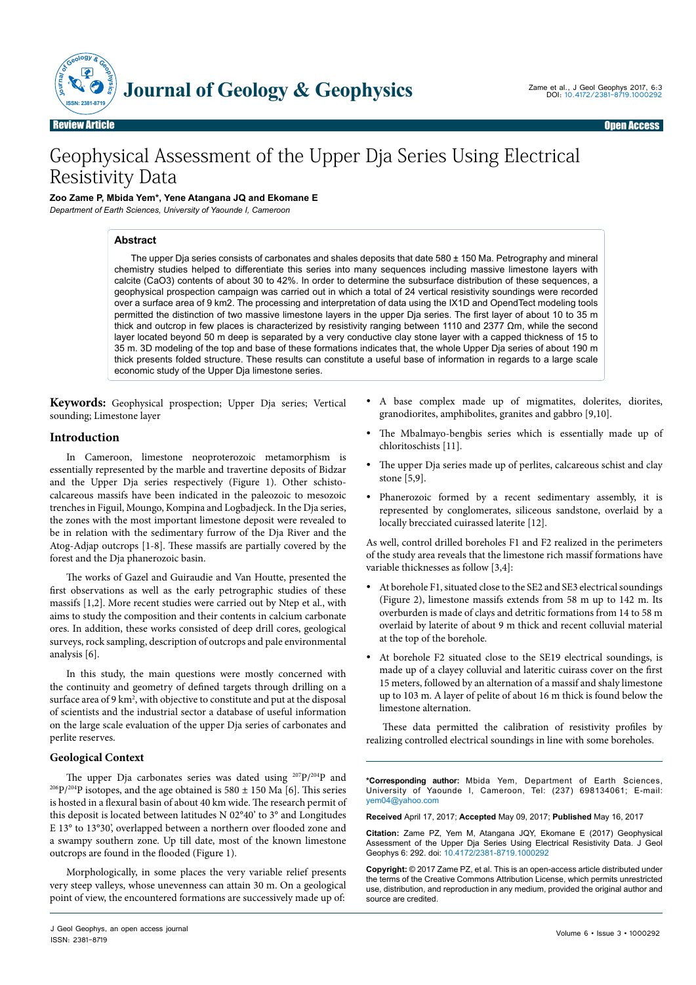

# Geophysical Assessment of the Upper Dja Series Using Electrical Resistivity Data

# **Zoo Zame P, Mbida Yem\*, Yene Atangana JQ and Ekomane E**

*Department of Earth Sciences, University of Yaounde I, Cameroon*

## **Abstract**

The upper Dja series consists of carbonates and shales deposits that date 580 ± 150 Ma. Petrography and mineral chemistry studies helped to differentiate this series into many sequences including massive limestone layers with calcite (CaO3) contents of about 30 to 42%. In order to determine the subsurface distribution of these sequences, a geophysical prospection campaign was carried out in which a total of 24 vertical resistivity soundings were recorded over a surface area of 9 km2. The processing and interpretation of data using the IX1D and OpendTect modeling tools permitted the distinction of two massive limestone layers in the upper Dja series. The first layer of about 10 to 35 m thick and outcrop in few places is characterized by resistivity ranging between 1110 and 2377 Ωm, while the second layer located beyond 50 m deep is separated by a very conductive clay stone layer with a capped thickness of 15 to 35 m. 3D modeling of the top and base of these formations indicates that, the whole Upper Dja series of about 190 m thick presents folded structure. These results can constitute a useful base of information in regards to a large scale economic study of the Upper Dja limestone series.

**Keywords:** Geophysical prospection; Upper Dja series; Vertical sounding; Limestone layer

## **Introduction**

In Cameroon, limestone neoproterozoic metamorphism is essentially represented by the marble and travertine deposits of Bidzar and the Upper Dja series respectively (Figure 1). Other schistocalcareous massifs have been indicated in the paleozoic to mesozoic trenches in Figuil, Moungo, Kompina and Logbadjeck. In the Dja series, the zones with the most important limestone deposit were revealed to be in relation with the sedimentary furrow of the Dja River and the Atog-Adjap outcrops [1-8]. These massifs are partially covered by the forest and the Dja phanerozoic basin.

The works of Gazel and Guiraudie and Van Houtte, presented the first observations as well as the early petrographic studies of these massifs [1,2]. More recent studies were carried out by Ntep et al., with aims to study the composition and their contents in calcium carbonate ores. In addition, these works consisted of deep drill cores, geological surveys, rock sampling, description of outcrops and pale environmental analysis [6].

In this study, the main questions were mostly concerned with the continuity and geometry of defined targets through drilling on a surface area of 9 km<sup>2</sup>, with objective to constitute and put at the disposal of scientists and the industrial sector a database of useful information on the large scale evaluation of the upper Dja series of carbonates and perlite reserves.

## **Geological Context**

The upper Dja carbonates series was dated using <sup>207</sup>P/<sup>204</sup>P and <sup>206</sup>P/<sup>204</sup>P isotopes, and the age obtained is 580  $\pm$  150 Ma [6]. This series is hosted in a flexural basin of about 40 km wide. The research permit of this deposit is located between latitudes N 02°40' to 3° and Longitudes E 13° to 13°30', overlapped between a northern over flooded zone and a swampy southern zone. Up till date, most of the known limestone outcrops are found in the flooded (Figure 1).

Morphologically, in some places the very variable relief presents very steep valleys, whose unevenness can attain 30 m. On a geological point of view, the encountered formations are successively made up of:

- yy A base complex made up of migmatites, dolerites, diorites, granodiorites, amphibolites, granites and gabbro [9,10].
- The Mbalmayo-bengbis series which is essentially made up of chloritoschists [11].
- The upper Dja series made up of perlites, calcareous schist and clay stone [5,9].
- Phanerozoic formed by a recent sedimentary assembly, it is represented by conglomerates, siliceous sandstone, overlaid by a locally brecciated cuirassed laterite [12].

As well, control drilled boreholes F1 and F2 realized in the perimeters of the study area reveals that the limestone rich massif formations have variable thicknesses as follow [3,4]:

- At borehole F1, situated close to the SE2 and SE3 electrical soundings (Figure 2), limestone massifs extends from 58 m up to 142 m. Its overburden is made of clays and detritic formations from 14 to 58 m overlaid by laterite of about 9 m thick and recent colluvial material at the top of the borehole.
- At borehole F2 situated close to the SE19 electrical soundings, is made up of a clayey colluvial and lateritic cuirass cover on the first 15 meters, followed by an alternation of a massif and shaly limestone up to 103 m. A layer of pelite of about 16 m thick is found below the limestone alternation.

These data permitted the calibration of resistivity profiles by realizing controlled electrical soundings in line with some boreholes.

**\*Corresponding author:** Mbida Yem, Department of Earth Sciences, University of Yaounde I, Cameroon, Tel: (237) 698134061; E-mail: [yem04@yahoo.com](mailto:yem04@yahoo.com)

**Received** April 17, 2017; **Accepted** May 09, 2017; **Published** May 16, 2017

**Citation:** Zame PZ, Yem M, Atangana JQY, Ekomane E (2017) Geophysical Assessment of the Upper Dja Series Using Electrical Resistivity Data. J Geol Geophys 6: 292. doi: 10.4172/2381-8719.1000292

**Copyright:** © 2017 Zame PZ, et al. This is an open-access article distributed under the terms of the Creative Commons Attribution License, which permits unrestricted use, distribution, and reproduction in any medium, provided the original author and source are credited.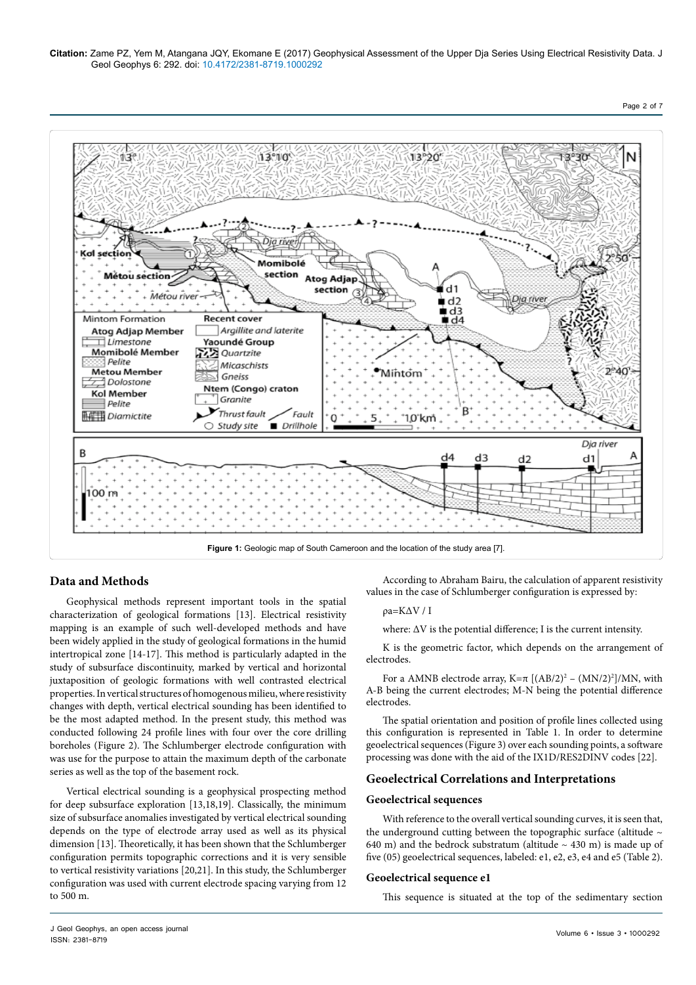



## **Data and Methods**

Geophysical methods represent important tools in the spatial characterization of geological formations [13]. Electrical resistivity mapping is an example of such well-developed methods and have been widely applied in the study of geological formations in the humid intertropical zone [14-17]. This method is particularly adapted in the study of subsurface discontinuity, marked by vertical and horizontal juxtaposition of geologic formations with well contrasted electrical properties. In vertical structures of homogenous milieu, where resistivity changes with depth, vertical electrical sounding has been identified to be the most adapted method. In the present study, this method was conducted following 24 profile lines with four over the core drilling boreholes (Figure 2). The Schlumberger electrode configuration with was use for the purpose to attain the maximum depth of the carbonate series as well as the top of the basement rock.

Vertical electrical sounding is a geophysical prospecting method for deep subsurface exploration [13,18,19]. Classically, the minimum size of subsurface anomalies investigated by vertical electrical sounding depends on the type of electrode array used as well as its physical dimension [13]. Theoretically, it has been shown that the Schlumberger configuration permits topographic corrections and it is very sensible to vertical resistivity variations [20,21]. In this study, the Schlumberger configuration was used with current electrode spacing varying from 12 to 500 m.

According to Abraham Bairu, the calculation of apparent resistivity values in the case of Schlumberger configuration is expressed by:

### ρa=KΔV / I

where:  $\Delta V$  is the potential difference; I is the current intensity.

K is the geometric factor, which depends on the arrangement of electrodes.

For a AMNB electrode array,  $K=\pi [(AB/2)^2 - (MN/2)^2]/MN$ , with A-B being the current electrodes; M-N being the potential difference electrodes.

The spatial orientation and position of profile lines collected using this configuration is represented in Table 1. In order to determine geoelectrical sequences (Figure 3) over each sounding points, a software processing was done with the aid of the IX1D/RES2DINV codes [22].

## **Geoelectrical Correlations and Interpretations**

#### **Geoelectrical sequences**

With reference to the overall vertical sounding curves, it is seen that, the underground cutting between the topographic surface (altitude  $\sim$ 640 m) and the bedrock substratum (altitude  $\sim$  430 m) is made up of five (05) geoelectrical sequences, labeled: e1, e2, e3, e4 and e5 (Table 2).

#### **Geoelectrical sequence e1**

This sequence is situated at the top of the sedimentary section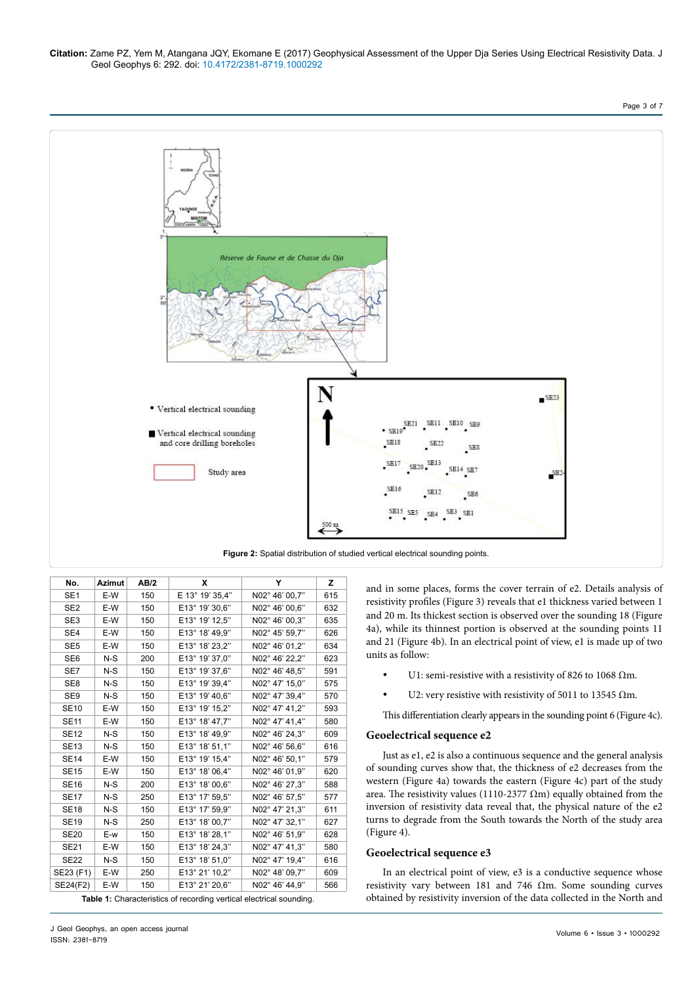Page 3 of 7



**Figure 2:** Spatial distribution of studied vertical electrical sounding points.

| No.             | <b>Azimut</b> | AB/2 | x               | Y              | z   |
|-----------------|---------------|------|-----------------|----------------|-----|
| SE <sub>1</sub> | E-W           | 150  | E 13° 19' 35,4" | N02° 46' 00,7" | 615 |
| SE <sub>2</sub> | E-W           | 150  | E13° 19' 30,6"  | N02° 46' 00.6" | 632 |
| SE <sub>3</sub> | E-W           | 150  | E13° 19' 12,5"  | N02° 46' 00,3" | 635 |
| SE <sub>4</sub> | E-W           | 150  | E13° 18' 49,9"  | N02° 45' 59,7" | 626 |
| SE <sub>5</sub> | E-W           | 150  | E13° 18' 23,2"  | N02° 46' 01,2" | 634 |
| SE <sub>6</sub> | $N-S$         | 200  | E13° 19' 37,0"  | N02° 46' 22,2" | 623 |
| SE7             | $N-S$         | 150  | E13° 19' 37,6"  | N02° 46' 48,5" | 591 |
| SE <sub>8</sub> | $N-S$         | 150  | E13° 19' 39,4"  | N02° 47' 15,0" | 575 |
| SE9             | $N-S$         | 150  | E13° 19' 40,6"  | N02° 47' 39,4" | 570 |
| <b>SE10</b>     | E-W           | 150  | E13° 19' 15,2"  | N02° 47' 41,2" | 593 |
| <b>SE11</b>     | E-W           | 150  | E13° 18' 47,7"  | N02° 47' 41,4" | 580 |
| <b>SE12</b>     | $N-S$         | 150  | E13° 18' 49,9"  | N02° 46' 24,3" | 609 |
| <b>SE13</b>     | $N-S$         | 150  | E13° 18' 51,1"  | N02° 46' 56,6" | 616 |
| <b>SE14</b>     | E-W           | 150  | E13° 19' 15,4"  | N02° 46' 50,1" | 579 |
| <b>SE15</b>     | E-W           | 150  | E13° 18' 06,4"  | N02° 46' 01,9" | 620 |
| <b>SE16</b>     | $N-S$         | 200  | E13° 18' 00.6"  | N02° 46' 27,3" | 588 |
| <b>SE17</b>     | $N-S$         | 250  | E13° 17' 59,5"  | N02° 46' 57,5" | 577 |
| <b>SE18</b>     | $N-S$         | 150  | E13° 17' 59,9"  | N02° 47' 21,3" | 611 |
| <b>SE19</b>     | $N-S$         | 250  | E13° 18' 00,7"  | N02° 47' 32,1" | 627 |
| <b>SE20</b>     | E-w           | 150  | E13° 18' 28,1"  | N02° 46' 51,9" | 628 |
| <b>SE21</b>     | E-W           | 150  | E13° 18' 24,3"  | N02° 47' 41,3" | 580 |
| <b>SE22</b>     | $N-S$         | 150  | E13° 18' 51,0"  | N02° 47' 19.4" | 616 |
| SE23 (F1)       | E-W           | 250  | E13° 21' 10,2"  | N02° 48' 09.7" | 609 |
| SE24(F2)        | E-W           | 150  | E13° 21' 20.6"  | N02° 46' 44.9" | 566 |

**Table 1:** Characteristics of recording vertical electrical sounding.

and in some places, forms the cover terrain of e2. Details analysis of resistivity profiles (Figure 3) reveals that e1 thickness varied between 1 and 20 m. Its thickest section is observed over the sounding 18 (Figure 4a), while its thinnest portion is observed at the sounding points 11 and 21 (Figure 4b). In an electrical point of view, e1 is made up of two units as follow:

- U1: semi-resistive with a resistivity of 826 to 1068  $\Omega$ m.
- U2: very resistive with resistivity of 5011 to 13545  $\Omega$ m.

This differentiation clearly appears in the sounding point 6 (Figure 4c).

## **Geoelectrical sequence e2**

Just as e1, e2 is also a continuous sequence and the general analysis of sounding curves show that, the thickness of e2 decreases from the western (Figure 4a) towards the eastern (Figure 4c) part of the study area. The resistivity values (1110-2377  $\Omega$ m) equally obtained from the inversion of resistivity data reveal that, the physical nature of the e2 turns to degrade from the South towards the North of the study area (Figure 4).

## **Geoelectrical sequence e3**

In an electrical point of view, e3 is a conductive sequence whose resistivity vary between 181 and 746 Ωm. Some sounding curves obtained by resistivity inversion of the data collected in the North and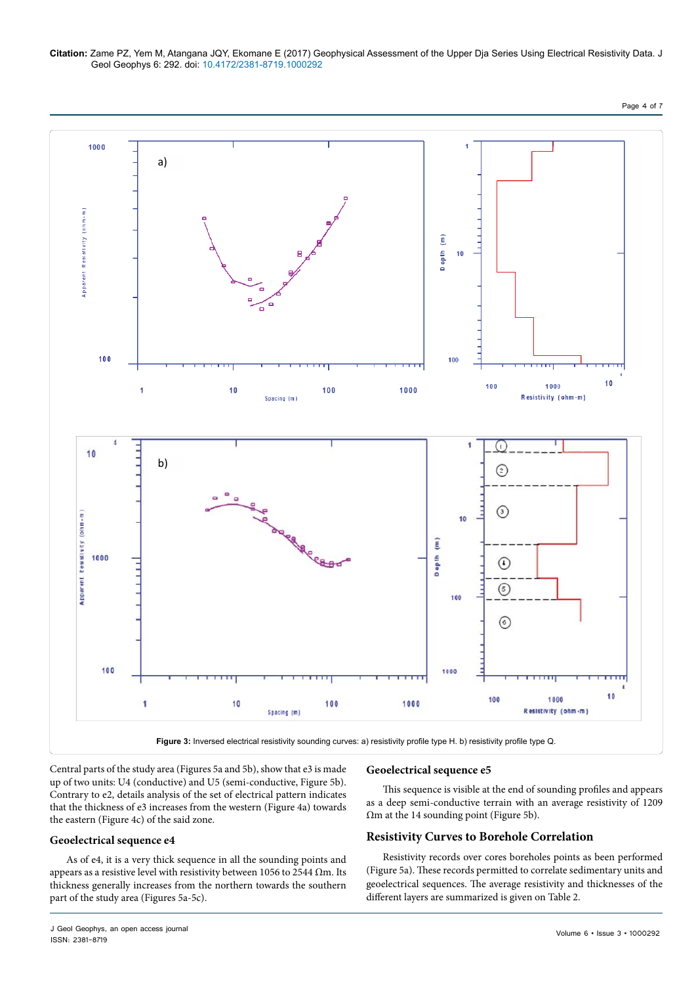Page 4 of 7



Central parts of the study area (Figures 5a and 5b), show that e3 is made up of two units: U4 (conductive) and U5 (semi-conductive, Figure 5b). Contrary to e2, details analysis of the set of electrical pattern indicates that the thickness of e3 increases from the western (Figure 4a) towards the eastern (Figure 4c) of the said zone.

# **Geoelectrical sequence e4**

As of e4, it is a very thick sequence in all the sounding points and appears as a resistive level with resistivity between 1056 to 2544  $\Omega$ m. Its thickness generally increases from the northern towards the southern part of the study area (Figures 5a-5c).

## **Geoelectrical sequence e5**

This sequence is visible at the end of sounding profiles and appears as a deep semi-conductive terrain with an average resistivity of 1209 Ωm at the 14 sounding point (Figure 5b).

# **Resistivity Curves to Borehole Correlation**

Resistivity records over cores boreholes points as been performed (Figure 5a). These records permitted to correlate sedimentary units and geoelectrical sequences. The average resistivity and thicknesses of the different layers are summarized is given on Table 2.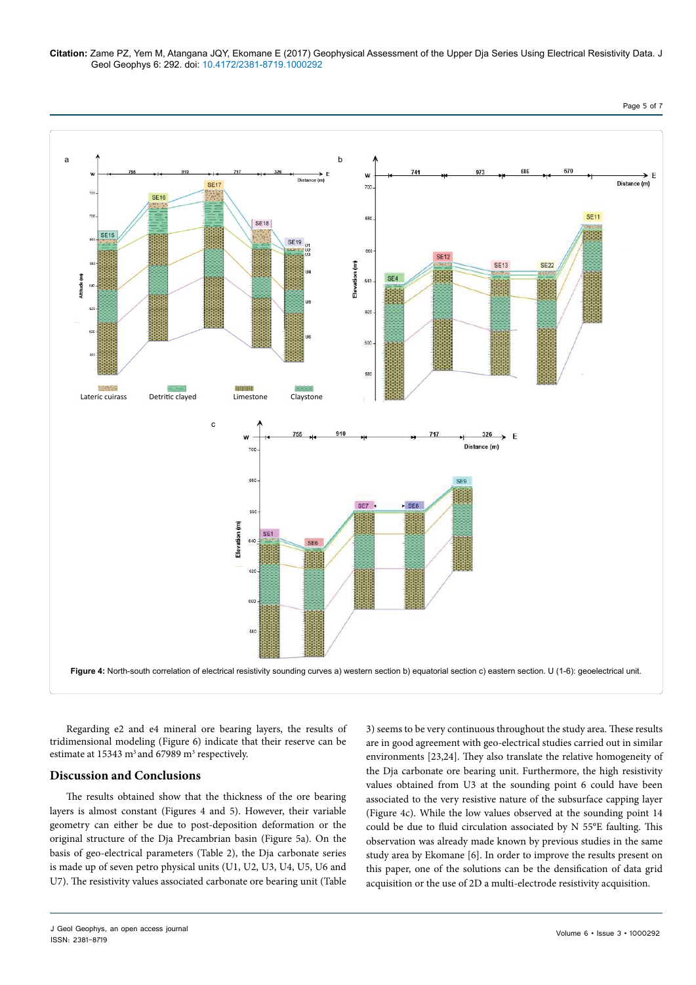

Regarding e2 and e4 mineral ore bearing layers, the results of tridimensional modeling (Figure 6) indicate that their reserve can be estimate at  $15343 \text{ m}^3$  and  $67989 \text{ m}^3$  respectively.

## **Discussion and Conclusions**

The results obtained show that the thickness of the ore bearing layers is almost constant (Figures 4 and 5). However, their variable geometry can either be due to post-deposition deformation or the original structure of the Dja Precambrian basin (Figure 5a). On the basis of geo-electrical parameters (Table 2), the Dja carbonate series is made up of seven petro physical units (U1, U2, U3, U4, U5, U6 and U7). The resistivity values associated carbonate ore bearing unit (Table

3) seems to be very continuous throughout the study area. These results are in good agreement with geo-electrical studies carried out in similar environments [23,24]. They also translate the relative homogeneity of the Dja carbonate ore bearing unit. Furthermore, the high resistivity values obtained from U3 at the sounding point 6 could have been associated to the very resistive nature of the subsurface capping layer (Figure 4c). While the low values observed at the sounding point 14 could be due to fluid circulation associated by N 55°E faulting. This observation was already made known by previous studies in the same study area by Ekomane [6]. In order to improve the results present on this paper, one of the solutions can be the densification of data grid acquisition or the use of 2D a multi-electrode resistivity acquisition.

Page 5 of 7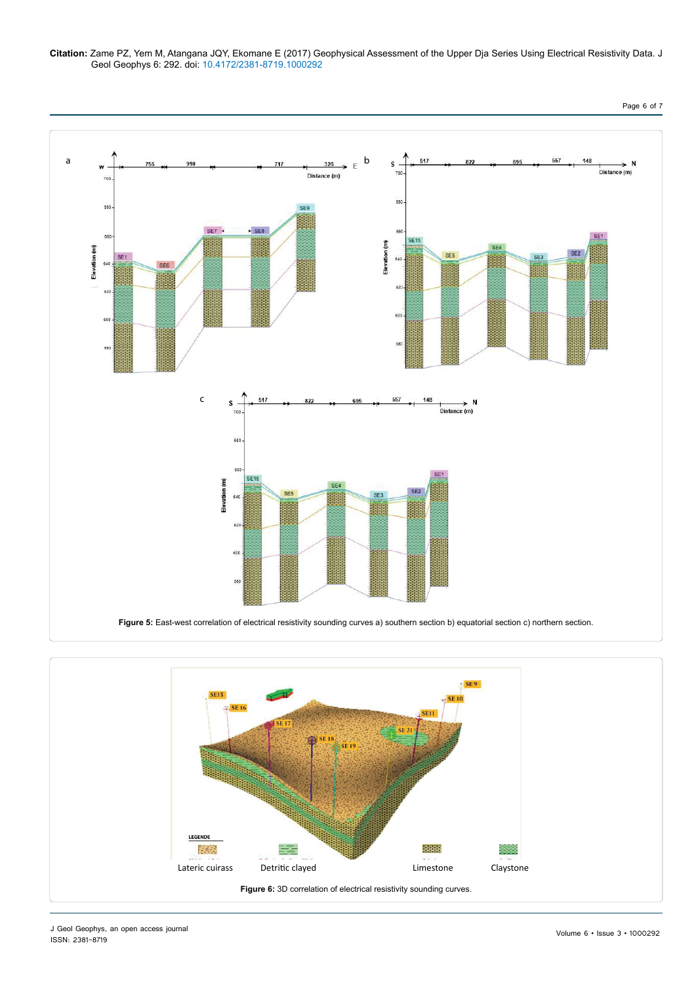